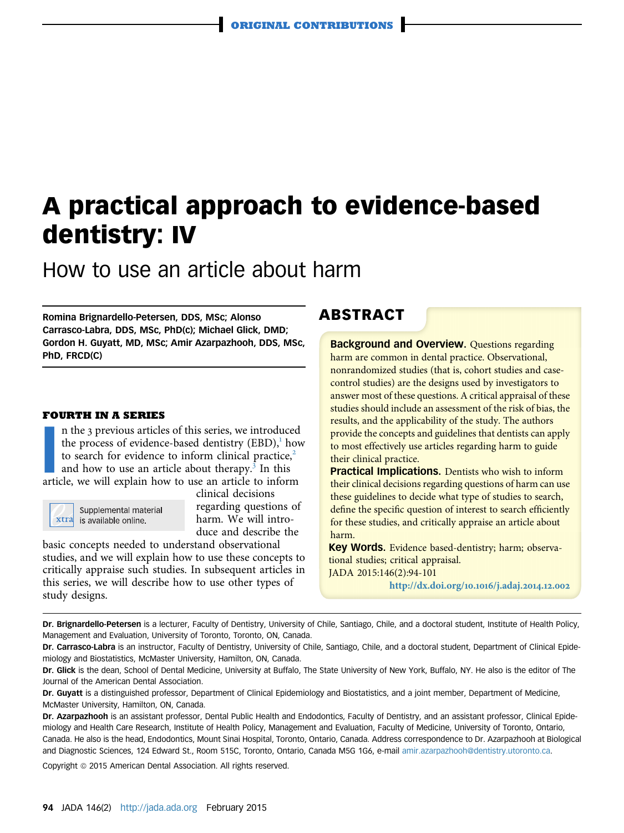# A practical approach to evidence-based dentistry: IV

How to use an article about harm

Romina Brignardello-Petersen, DDS, MSc; Alonso Carrasco-Labra, DDS, MSc, PhD(c); Michael Glick, DMD; Gordon H. Guyatt, MD, MSc; Amir Azarpazhooh, DDS, MSc, PhD, FRCD(C)

### FOURTH IN A SERIES

In the 3 previous articles of this series, we introduced<br>the process of evidence-based dentistry (EBD),<sup>1</sup> hov<br>to search for evidence to inform clinical practice,<sup>2</sup><br>and how to use an article about therapy.<sup>3</sup> In this<br>arti n the 3 previous articles of this series, we introduced the process of evidence-based dentistry  $(EBD)$ , how to search for evidence to inform clinical practice, $2$ and how to use an article about therapy.<sup>[3](#page-7-0)</sup> In this



Supplemental material  $x \text{tra}$  is available online.

clinical decisions regarding questions of harm. We will introduce and describe the

basic concepts needed to understand observational studies, and we will explain how to use these concepts to critically appraise such studies. In subsequent articles in this series, we will describe how to use other types of study designs.

### ABSTRACT

**Background and Overview.** Questions regarding harm are common in dental practice. Observational, nonrandomized studies (that is, cohort studies and casecontrol studies) are the designs used by investigators to answer most of these questions. A critical appraisal of these studies should include an assessment of the risk of bias, the results, and the applicability of the study. The authors provide the concepts and guidelines that dentists can apply to most effectively use articles regarding harm to guide their clinical practice.

**Practical Implications.** Dentists who wish to inform their clinical decisions regarding questions of harm can use these guidelines to decide what type of studies to search, define the specific question of interest to search efficiently for these studies, and critically appraise an article about harm.

Key Words. Evidence based-dentistry; harm; observational studies; critical appraisal. JADA 2015:146(2):94-101

[http://dx.doi.org/](http://dx.doi.org/10.1016/j.adaj.2014.12.002)10.1016/j.adaj.2014.12.002

Dr. Brignardello-Petersen is a lecturer, Faculty of Dentistry, University of Chile, Santiago, Chile, and a doctoral student, Institute of Health Policy, Management and Evaluation, University of Toronto, Toronto, ON, Canada.

Dr. Carrasco-Labra is an instructor, Faculty of Dentistry, University of Chile, Santiago, Chile, and a doctoral student, Department of Clinical Epidemiology and Biostatistics, McMaster University, Hamilton, ON, Canada.

Dr. Glick is the dean, School of Dental Medicine, University at Buffalo, The State University of New York, Buffalo, NY. He also is the editor of The Journal of the American Dental Association.

Dr. Guyatt is a distinguished professor, Department of Clinical Epidemiology and Biostatistics, and a joint member, Department of Medicine, McMaster University, Hamilton, ON, Canada.

Dr. Azarpazhooh is an assistant professor, Dental Public Health and Endodontics, Faculty of Dentistry, and an assistant professor, Clinical Epidemiology and Health Care Research, Institute of Health Policy, Management and Evaluation, Faculty of Medicine, University of Toronto, Ontario, Canada. He also is the head, Endodontics, Mount Sinai Hospital, Toronto, Ontario, Canada. Address correspondence to Dr. Azarpazhooh at Biological and Diagnostic Sciences, 124 Edward St., Room 515C, Toronto, Ontario, Canada M5G 1G6, e-mail [amir.azarpazhooh@dentistry.utoronto.ca](mailto:amir.azarpazhooh@dentistry.utoronto.ca).

Copyright @ 2015 American Dental Association. All rights reserved.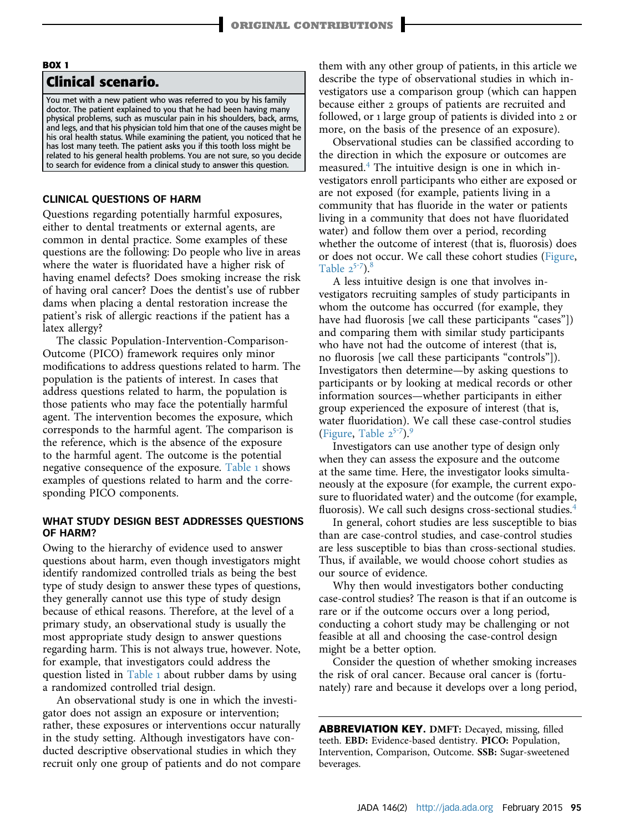### BOX 1 Clinical scenario.

You met with a new patient who was referred to you by his family doctor. The patient explained to you that he had been having many physical problems, such as muscular pain in his shoulders, back, arms, and legs, and that his physician told him that one of the causes might be his oral health status. While examining the patient, you noticed that he has lost many teeth. The patient asks you if this tooth loss might be related to his general health problems. You are not sure, so you decide to search for evidence from a clinical study to answer this question.

### CLINICAL QUESTIONS OF HARM

Questions regarding potentially harmful exposures, either to dental treatments or external agents, are common in dental practice. Some examples of these questions are the following: Do people who live in areas where the water is fluoridated have a higher risk of having enamel defects? Does smoking increase the risk of having oral cancer? Does the dentist's use of rubber dams when placing a dental restoration increase the patient's risk of allergic reactions if the patient has a latex allergy?

The classic Population-Intervention-Comparison-Outcome (PICO) framework requires only minor modifications to address questions related to harm. The population is the patients of interest. In cases that address questions related to harm, the population is those patients who may face the potentially harmful agent. The intervention becomes the exposure, which corresponds to the harmful agent. The comparison is the reference, which is the absence of the exposure to the harmful agent. The outcome is the potential negative consequence of the exposure. [Table](#page-2-0) 1 shows examples of questions related to harm and the corresponding PICO components.

### WHAT STUDY DESIGN BEST ADDRESSES QUESTIONS OF HARM?

Owing to the hierarchy of evidence used to answer questions about harm, even though investigators might identify randomized controlled trials as being the best type of study design to answer these types of questions, they generally cannot use this type of study design because of ethical reasons. Therefore, at the level of a primary study, an observational study is usually the most appropriate study design to answer questions regarding harm. This is not always true, however. Note, for example, that investigators could address the question listed in [Table](#page-2-0) 1 about rubber dams by using a randomized controlled trial design.

An observational study is one in which the investigator does not assign an exposure or intervention; rather, these exposures or interventions occur naturally in the study setting. Although investigators have conducted descriptive observational studies in which they recruit only one group of patients and do not compare them with any other group of patients, in this article we describe the type of observational studies in which investigators use a comparison group (which can happen because either 2 groups of patients are recruited and followed, or 1 large group of patients is divided into 2 or more, on the basis of the presence of an exposure).

Observational studies can be classified according to the direction in which the exposure or outcomes are measured.[4](#page-7-0) The intuitive design is one in which investigators enroll participants who either are exposed or are not exposed (for example, patients living in a community that has fluoride in the water or patients living in a community that does not have fluoridated water) and follow them over a period, recording whether the outcome of interest (that is, fluorosis) does or does [no](#page-7-0)t occur. We call these cohort studies ([Figure,](#page-3-0) [Table](#page-3-0)  $2^{5-7}$ ).<sup>[8](#page-7-0)</sup>

A less intuitive design is one that involves investigators recruiting samples of study participants in whom the outcome has occurred (for example, they have had fluorosis [we call these participants "cases"]) and comparing them with similar study participants who have not had the outcome of interest (that is, no fluorosis [we call these participants "controls"]). Investigators then determine—by asking questions to participants or by looking at medical records or other information sources—whether participants in either group experienced the exposure of interest (that is, water fluoridati[on\)](#page-7-0). We call these case-control studies [\(Figure,](#page-3-0) [Table](#page-3-0)  $2^{5-7}$ ).<sup>[9](#page-7-0)</sup>

Investigators can use another type of design only when they can assess the exposure and the outcome at the same time. Here, the investigator looks simultaneously at the exposure (for example, the current exposure to fluoridated water) and the outcome (for example, fluorosis). We call such designs cross-sectional studies.<sup>[4](#page-7-0)</sup>

In general, cohort studies are less susceptible to bias than are case-control studies, and case-control studies are less susceptible to bias than cross-sectional studies. Thus, if available, we would choose cohort studies as our source of evidence.

Why then would investigators bother conducting case-control studies? The reason is that if an outcome is rare or if the outcome occurs over a long period, conducting a cohort study may be challenging or not feasible at all and choosing the case-control design might be a better option.

Consider the question of whether smoking increases the risk of oral cancer. Because oral cancer is (fortunately) rare and because it develops over a long period,

ABBREVIATION KEY. DMFT: Decayed, missing, filled teeth. EBD: Evidence-based dentistry. PICO: Population, Intervention, Comparison, Outcome. SSB: Sugar-sweetened beverages.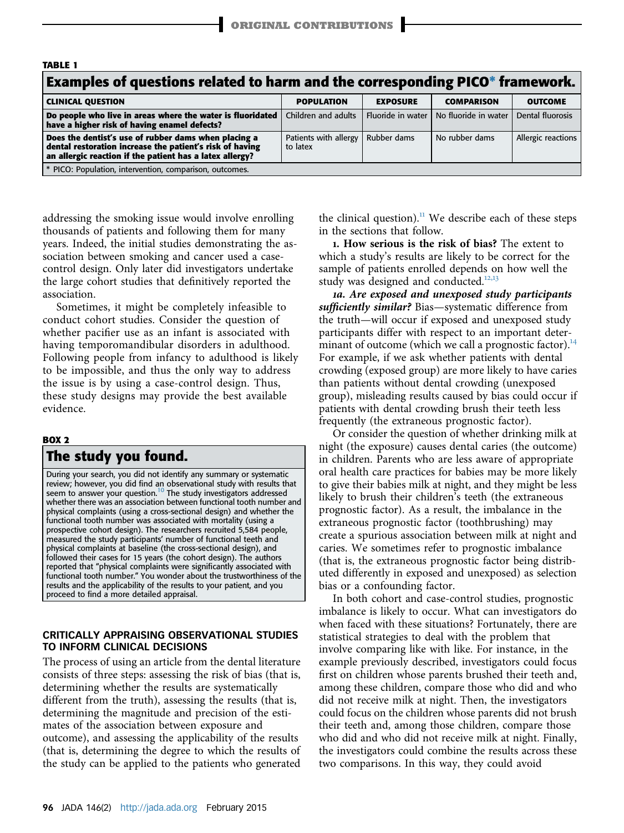<span id="page-2-0"></span>

| <b>TABLE 1</b>                                                                                                                                                               |                                   |                   |                      |                    |  |
|------------------------------------------------------------------------------------------------------------------------------------------------------------------------------|-----------------------------------|-------------------|----------------------|--------------------|--|
| Examples of questions related to harm and the corresponding PICO* framework.                                                                                                 |                                   |                   |                      |                    |  |
| <b>CLINICAL QUESTION</b>                                                                                                                                                     | <b>POPULATION</b>                 | <b>EXPOSURE</b>   | <b>COMPARISON</b>    | <b>OUTCOME</b>     |  |
| Do people who live in areas where the water is fluoridated<br>have a higher risk of having enamel defects?                                                                   | Children and adults               | Fluoride in water | No fluoride in water | Dental fluorosis   |  |
| Does the dentist's use of rubber dams when placing a<br>dental restoration increase the patient's risk of having<br>an allergic reaction if the patient has a latex allergy? | Patients with allergy<br>to latex | Rubber dams       | No rubber dams       | Allergic reactions |  |
| * PICO: Population, intervention, comparison, outcomes.                                                                                                                      |                                   |                   |                      |                    |  |

addressing the smoking issue would involve enrolling thousands of patients and following them for many years. Indeed, the initial studies demonstrating the association between smoking and cancer used a casecontrol design. Only later did investigators undertake the large cohort studies that definitively reported the association.

Sometimes, it might be completely infeasible to conduct cohort studies. Consider the question of whether pacifier use as an infant is associated with having temporomandibular disorders in adulthood. Following people from infancy to adulthood is likely to be impossible, and thus the only way to address the issue is by using a case-control design. Thus, these study designs may provide the best available evidence.

### BOX 2

## The study you found.

During your search, you did not identify any summary or systematic review; however, you did find an observational study with results that<br>seem to answer your question.<sup>10</sup> The study investigators addressed whether there was an association between functional tooth number and physical complaints (using a cross-sectional design) and whether the functional tooth number was associated with mortality (using a prospective cohort design). The researchers recruited 5,584 people, measured the study participants' number of functional teeth and physical complaints at baseline (the cross-sectional design), and followed their cases for 15 years (the cohort design). The authors reported that "physical complaints were significantly associated with functional tooth number." You wonder about the trustworthiness of the results and the applicability of the results to your patient, and you proceed to find a more detailed appraisal.

### CRITICALLY APPRAISING OBSERVATIONAL STUDIES TO INFORM CLINICAL DECISIONS

The process of using an article from the dental literature consists of three steps: assessing the risk of bias (that is, determining whether the results are systematically different from the truth), assessing the results (that is, determining the magnitude and precision of the estimates of the association between exposure and outcome), and assessing the applicability of the results (that is, determining the degree to which the results of the study can be applied to the patients who generated the clinical question).<sup>[11](#page-7-0)</sup> We describe each of these steps in the sections that follow.

1. How serious is the risk of bias? The extent to which a study's results are likely to be correct for the sample of patients enrolled depend[s on](#page-7-0) how well the study was designed and conducted.<sup>12,13</sup>

1a. Are exposed and unexposed study participants sufficiently similar? Bias—systematic difference from the truth—will occur if exposed and unexposed study participants differ with respect to an important determinant of outcome (which we call a prognostic factor). $^{14}$  $^{14}$  $^{14}$ For example, if we ask whether patients with dental crowding (exposed group) are more likely to have caries than patients without dental crowding (unexposed group), misleading results caused by bias could occur if patients with dental crowding brush their teeth less frequently (the extraneous prognostic factor).

Or consider the question of whether drinking milk at night (the exposure) causes dental caries (the outcome) in children. Parents who are less aware of appropriate oral health care practices for babies may be more likely to give their babies milk at night, and they might be less likely to brush their children's teeth (the extraneous prognostic factor). As a result, the imbalance in the extraneous prognostic factor (toothbrushing) may create a spurious association between milk at night and caries. We sometimes refer to prognostic imbalance (that is, the extraneous prognostic factor being distributed differently in exposed and unexposed) as selection bias or a confounding factor.

In both cohort and case-control studies, prognostic imbalance is likely to occur. What can investigators do when faced with these situations? Fortunately, there are statistical strategies to deal with the problem that involve comparing like with like. For instance, in the example previously described, investigators could focus first on children whose parents brushed their teeth and, among these children, compare those who did and who did not receive milk at night. Then, the investigators could focus on the children whose parents did not brush their teeth and, among those children, compare those who did and who did not receive milk at night. Finally, the investigators could combine the results across these two comparisons. In this way, they could avoid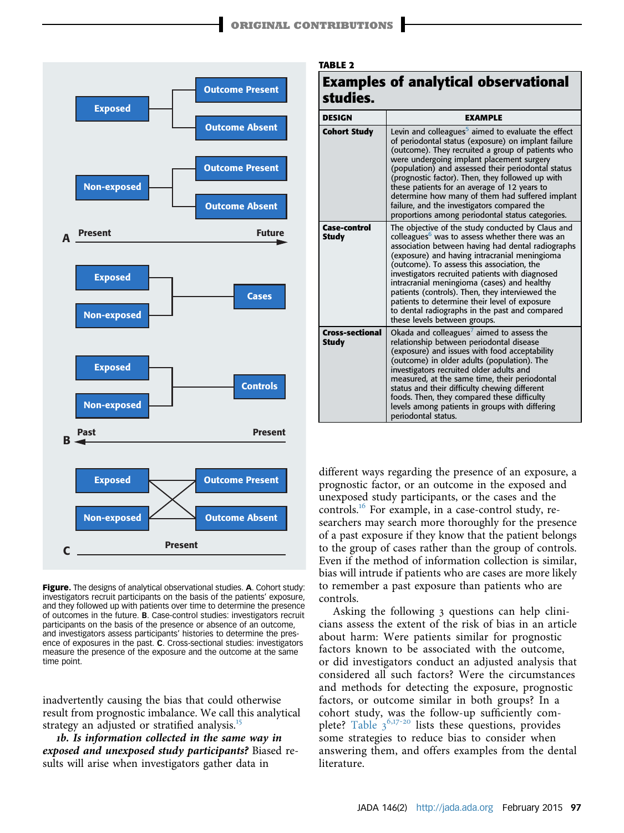TABLE 2

<span id="page-3-0"></span>

Figure. The designs of analytical observational studies. A. Cohort study: investigators recruit participants on the basis of the patients' exposure, and they followed up with patients over time to determine the presence of outcomes in the future. B. Case-control studies: investigators recruit participants on the basis of the presence or absence of an outcome, and investigators assess participants' histories to determine the presence of exposures in the past. C. Cross-sectional studies: investigators measure the presence of the exposure and the outcome at the same time point.

inadvertently causing the bias that could otherwise result from prognostic imbalance. We call this analytical strategy an adjusted or stratified analysis.<sup>[15](#page-7-0)</sup>

1b. Is information collected in the same way in exposed and unexposed study participants? Biased results will arise when investigators gather data in

| <b>Examples of analytical observational</b><br>studies. |                                                                                                                                                                                                                                                                                                                                                                                                                                                                                                                                                             |  |
|---------------------------------------------------------|-------------------------------------------------------------------------------------------------------------------------------------------------------------------------------------------------------------------------------------------------------------------------------------------------------------------------------------------------------------------------------------------------------------------------------------------------------------------------------------------------------------------------------------------------------------|--|
| <b>DESIGN</b>                                           | <b>EXAMPLE</b>                                                                                                                                                                                                                                                                                                                                                                                                                                                                                                                                              |  |
| <b>Cohort Study</b>                                     | Levin and colleagues <sup>3</sup> aimed to evaluate the effect<br>of periodontal status (exposure) on implant failure<br>(outcome). They recruited a group of patients who<br>were undergoing implant placement surgery<br>(population) and assessed their periodontal status<br>(prognostic factor). Then, they followed up with<br>these patients for an average of 12 years to<br>determine how many of them had suffered implant<br>failure, and the investigators compared the<br>proportions among periodontal status categories.                     |  |
| Case-control<br><b>Study</b>                            | The objective of the study conducted by Claus and<br>colleagues <sup>6</sup> was to assess whether there was an<br>association between having had dental radiographs<br>(exposure) and having intracranial meningioma<br>(outcome). To assess this association, the<br>investigators recruited patients with diagnosed<br>intracranial meningioma (cases) and healthy<br>patients (controls). Then, they interviewed the<br>patients to determine their level of exposure<br>to dental radiographs in the past and compared<br>these levels between groups. |  |
| <b>Cross-sectional</b><br><b>Study</b>                  | Okada and colleagues' aimed to assess the<br>relationship between periodontal disease<br>(exposure) and issues with food acceptability                                                                                                                                                                                                                                                                                                                                                                                                                      |  |

(outcome) in older adults (population). The investigators recruited older adults and measured, at the same time, their periodontal status and their difficulty chewing different foods. Then, they compared these difficulty levels among patients in groups with differing

different ways regarding the presence of an exposure, a prognostic factor, or an outcome in the exposed and unexposed study participants, or the cases and the controls.<sup>[16](#page-7-0)</sup> For example, in a case-control study, researchers may search more thoroughly for the presence of a past exposure if they know that the patient belongs to the group of cases rather than the group of controls. Even if the method of information collection is similar, bias will intrude if patients who are cases are more likely to remember a past exposure than patients who are controls.

periodontal status.

Asking the following 3 questions can help clinicians assess the extent of the risk of bias in an article about harm: Were patients similar for prognostic factors known to be associated with the outcome, or did investigators conduct an adjusted analysis that considered all such factors? Were the circumstances and methods for detecting the exposure, prognostic factors, or outcome similar in both groups? In a cohort study, [was t](#page-7-0)he follow-up sufficiently com-plete? [Table](#page-4-0) 3<sup>6,17-20</sup> lists these questions, provides some strategies to reduce bias to consider when answering them, and offers examples from the dental literature.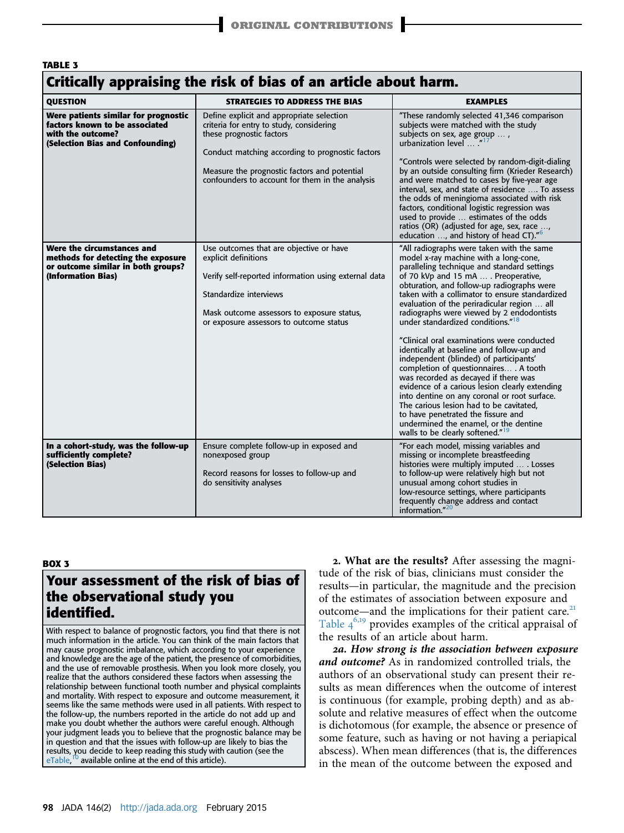### <span id="page-4-0"></span>TABLE 3

### Critically appraising the risk of bias of an article about harm.

| OUESTION                                                                                                                        | <b>STRATEGIES TO ADDRESS THE BIAS</b>                                                                                                                                                                                                                                    | <b>EXAMPLES</b>                                                                                                                                                                                                                                                                                                                                                                                                                                                                                                                                                                                                                                                                                                                                                                                                                                                                                                           |
|---------------------------------------------------------------------------------------------------------------------------------|--------------------------------------------------------------------------------------------------------------------------------------------------------------------------------------------------------------------------------------------------------------------------|---------------------------------------------------------------------------------------------------------------------------------------------------------------------------------------------------------------------------------------------------------------------------------------------------------------------------------------------------------------------------------------------------------------------------------------------------------------------------------------------------------------------------------------------------------------------------------------------------------------------------------------------------------------------------------------------------------------------------------------------------------------------------------------------------------------------------------------------------------------------------------------------------------------------------|
| Were patients similar for prognostic<br>factors known to be associated<br>with the outcome?<br>(Selection Bias and Confounding) | Define explicit and appropriate selection<br>criteria for entry to study, considering<br>these prognostic factors<br>Conduct matching according to prognostic factors<br>Measure the prognostic factors and potential<br>confounders to account for them in the analysis | "These randomly selected 41,346 comparison<br>subjects were matched with the study<br>subjects on sex, age group ,<br>urbanization level "<br>"Controls were selected by random-digit-dialing<br>by an outside consulting firm (Krieder Research)<br>and were matched to cases by five-year age<br>interval, sex, and state of residence  To assess<br>the odds of meningioma associated with risk<br>factors, conditional logistic regression was<br>used to provide  estimates of the odds<br>ratios (OR) (adjusted for age, sex, race ,<br>education , and history of head CT)." <sup>6</sup>                                                                                                                                                                                                                                                                                                                          |
| Were the circumstances and<br>methods for detecting the exposure<br>or outcome similar in both groups?<br>(Information Bias)    | Use outcomes that are objective or have<br>explicit definitions<br>Verify self-reported information using external data<br>Standardize interviews<br>Mask outcome assessors to exposure status,<br>or exposure assessors to outcome status                               | "All radiographs were taken with the same<br>model x-ray machine with a long-cone,<br>paralleling technique and standard settings<br>of 70 kVp and 15 mA  . Preoperative,<br>obturation, and follow-up radiographs were<br>taken with a collimator to ensure standardized<br>evaluation of the periradicular region  all<br>radiographs were viewed by 2 endodontists<br>under standardized conditions." <sup>18</sup><br>"Clinical oral examinations were conducted<br>identically at baseline and follow-up and<br>independent (blinded) of participants'<br>completion of questionnaires . A tooth<br>was recorded as decayed if there was<br>evidence of a carious lesion clearly extending<br>into dentine on any coronal or root surface.<br>The carious lesion had to be cavitated.<br>to have penetrated the fissure and<br>undermined the enamel, or the dentine<br>walls to be clearly softened." <sup>19</sup> |
| In a cohort-study, was the follow-up<br>sufficiently complete?<br>(Selection Bias)                                              | Ensure complete follow-up in exposed and<br>nonexposed group<br>Record reasons for losses to follow-up and<br>do sensitivity analyses                                                                                                                                    | "For each model, missing variables and<br>missing or incomplete breastfeeding<br>histories were multiply imputed  . Losses<br>to follow-up were relatively high but not<br>unusual among cohort studies in<br>low-resource settings, where participants<br>frequently change address and contact<br>information."20                                                                                                                                                                                                                                                                                                                                                                                                                                                                                                                                                                                                       |

### BOX 3

# Your assessment of the risk of bias of the observational study you identified.

With respect to balance of prognostic factors, you find that there is not much information in the article. You can think of the main factors that may cause prognostic imbalance, which according to your experience and knowledge are the age of the patient, the presence of comorbidities, and the use of removable prosthesis. When you look more closely, you realize that the authors considered these factors when assessing the relationship between functional tooth number and physical complaints and mortality. With respect to exposure and outcome measurement, it seems like the same methods were used in all patients. With respect to the follow-up, the numbers reported in the article do not add up and make you doubt whether the authors were careful enough. Although your judgment leads you to believe that the prognostic balance may be in question and that the issues with follow-up are likely to bias the results, you decide to keep reading this study with caution (see the eTable,  $<sup>1</sup>$  available online at the end of this article).</sup>

2. What are the results? After assessing the magnitude of the risk of bias, clinicians must consider the results—in particular, the magnitude and the precision of the estimates of association between exposure and outcome—and the implications for their patient care.<sup>[21](#page-7-0)</sup> [Table](#page-5-0) 46,[19](#page-7-0) provides examples of the critical appraisal of the results of an article about harm.

2a. How strong is the association between exposure and outcome? As in randomized controlled trials, the authors of an observational study can present their results as mean differences when the outcome of interest is continuous (for example, probing depth) and as absolute and relative measures of effect when the outcome is dichotomous (for example, the absence or presence of some feature, such as having or not having a periapical abscess). When mean differences (that is, the differences in the mean of the outcome between the exposed and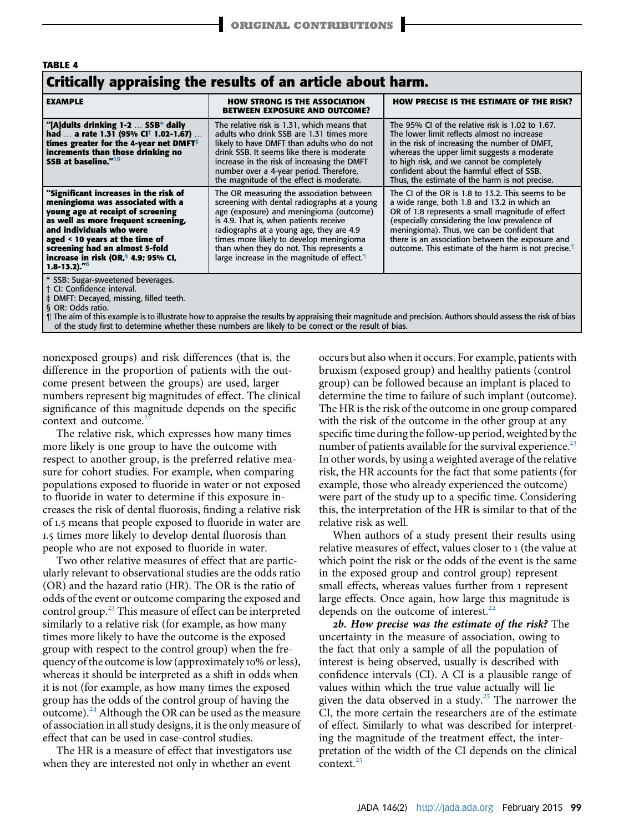<span id="page-5-0"></span>

| <b>TABLE 4</b>                                                                                                                                                                                                                                                                                                                                 |                                                                                                                                                                                                                                                                                                                                                                              |                                                                                                                                                                                                                                                                                                                                                                             |  |  |
|------------------------------------------------------------------------------------------------------------------------------------------------------------------------------------------------------------------------------------------------------------------------------------------------------------------------------------------------|------------------------------------------------------------------------------------------------------------------------------------------------------------------------------------------------------------------------------------------------------------------------------------------------------------------------------------------------------------------------------|-----------------------------------------------------------------------------------------------------------------------------------------------------------------------------------------------------------------------------------------------------------------------------------------------------------------------------------------------------------------------------|--|--|
| Critically appraising the results of an article about harm.                                                                                                                                                                                                                                                                                    |                                                                                                                                                                                                                                                                                                                                                                              |                                                                                                                                                                                                                                                                                                                                                                             |  |  |
| <b>EXAMPLE</b>                                                                                                                                                                                                                                                                                                                                 | <b>HOW STRONG IS THE ASSOCIATION</b><br><b>BETWEEN EXPOSURE AND OUTCOME?</b>                                                                                                                                                                                                                                                                                                 | <b>HOW PRECISE IS THE ESTIMATE OF THE RISK?</b>                                                                                                                                                                                                                                                                                                                             |  |  |
| "[A]dults drinking 1-2  SSB* daily<br>had  a rate 1.31 (95% CI <sup>†</sup> 1.02-1.67)<br>times greater for the 4-year net DMFT $^{\ddagger}$<br>increments than those drinking no<br>SSB at baseline." <sup>19</sup>                                                                                                                          | The relative risk is 1.31, which means that<br>adults who drink SSB are 1.31 times more<br>likely to have DMFT than adults who do not<br>drink SSB. It seems like there is moderate<br>increase in the risk of increasing the DMFT<br>number over a 4-year period. Therefore,<br>the magnitude of the effect is moderate.                                                    | The 95% CI of the relative risk is 1.02 to 1.67.<br>The lower limit reflects almost no increase<br>in the risk of increasing the number of DMFT,<br>whereas the upper limit suggests a moderate<br>to high risk, and we cannot be completely<br>confident about the harmful effect of SSB.<br>Thus, the estimate of the harm is not precise.                                |  |  |
| "Significant increases in the risk of<br>meningioma was associated with a<br>young age at receipt of screening<br>as well as more frequent screening,<br>and individuals who were<br>aged $\leq$ 10 years at the time of<br>screening had an almost 5-fold<br>increase in risk (OR, <sup>§</sup> 4.9; 95% CI,<br>$1.8 - 13.2$ )." <sup>6</sup> | The OR measuring the association between<br>screening with dental radiographs at a young<br>age (exposure) and meningioma (outcome)<br>is 4.9. That is, when patients receive<br>radiographs at a young age, they are 4.9<br>times more likely to develop meningioma<br>than when they do not. This represents a<br>large increase in the magnitude of effect. <sup>11</sup> | The CI of the OR is 1.8 to 13.2. This seems to be<br>a wide range, both 1.8 and 13.2 in which an<br>OR of 1.8 represents a small magnitude of effect<br>(especially considering the low prevalence of<br>meningioma). Thus, we can be confident that<br>there is an association between the exposure and<br>outcome. This estimate of the harm is not precise. <sup>1</sup> |  |  |
| * SSB: Sugar-sweetened beverages.<br>† CI: Confidence interval.<br>‡ DMFT: Decayed, missing, filled teeth.<br>§ OR: Odds ratio.                                                                                                                                                                                                                |                                                                                                                                                                                                                                                                                                                                                                              | and the contract of the contract of the contract of the contract of the contract of the contract of the contract of                                                                                                                                                                                                                                                         |  |  |

¶ The aim of this example is to illustrate how to appraise the results by appraising their magnitude and precision. Authors should assess the risk of bias<br>The study first to determine whether these numbers are likely to b

nonexposed groups) and risk differences (that is, the difference in the proportion of patients with the outcome present between the groups) are used, larger numbers represent big magnitudes of effect. The clinical significance of this magnitude depends on the specific context and outcome.<sup>2</sup>

The relative risk, which expresses how many times more likely is one group to have the outcome with respect to another group, is the preferred relative measure for cohort studies. For example, when comparing populations exposed to fluoride in water or not exposed to fluoride in water to determine if this exposure increases the risk of dental fluorosis, finding a relative risk of 1.5 means that people exposed to fluoride in water are 1.5 times more likely to develop dental fluorosis than people who are not exposed to fluoride in water.

Two other relative measures of effect that are particularly relevant to observational studies are the odds ratio (OR) and the hazard ratio (HR). The OR is the ratio of odds of the event or outcome comparing the exposed and control group.<sup>[23](#page-7-0)</sup> This measure of effect can be interpreted similarly to a relative risk (for example, as how many times more likely to have the outcome is the exposed group with respect to the control group) when the frequency of the outcome is low (approximately 10% or less), whereas it should be interpreted as a shift in odds when it is not (for example, as how many times the exposed group has the odds of the control group of having the outcome). $^{24}$  $^{24}$  $^{24}$  Although the OR can be used as the measure of association in all study designs, it is the only measure of effect that can be used in case-control studies.

The HR is a measure of effect that investigators use when they are interested not only in whether an event

occurs but also when it occurs. For example, patients with bruxism (exposed group) and healthy patients (control group) can be followed because an implant is placed to determine the time to failure of such implant (outcome). The HR is the risk of the outcome in one group compared with the risk of the outcome in the other group at any specific time during the follow-up period, weighted by the number of patients available for the survival experience.<sup>[23](#page-7-0)</sup> In other words, by using a weighted average of the relative risk, the HR accounts for the fact that some patients (for example, those who already experienced the outcome) were part of the study up to a specific time. Considering this, the interpretation of the HR is similar to that of the relative risk as well.

When authors of a study present their results using relative measures of effect, values closer to 1 (the value at which point the risk or the odds of the event is the same in the exposed group and control group) represent small effects, whereas values further from 1 represent large effects. Once again, how large this magnitude is depends on the outcome of interest.<sup>[22](#page-7-0)</sup>

2b. How precise was the estimate of the risk? The uncertainty in the measure of association, owing to the fact that only a sample of all the population of interest is being observed, usually is described with confidence intervals (CI). A CI is a plausible range of values within which the true value actually will lie given the data observed in a study.<sup>[25](#page-7-0)</sup> The narrower the CI, the more certain the researchers are of the estimate of effect. Similarly to what was described for interpreting the magnitude of the treatment effect, the interpretation of the width of the CI depends on the clinical context. $25$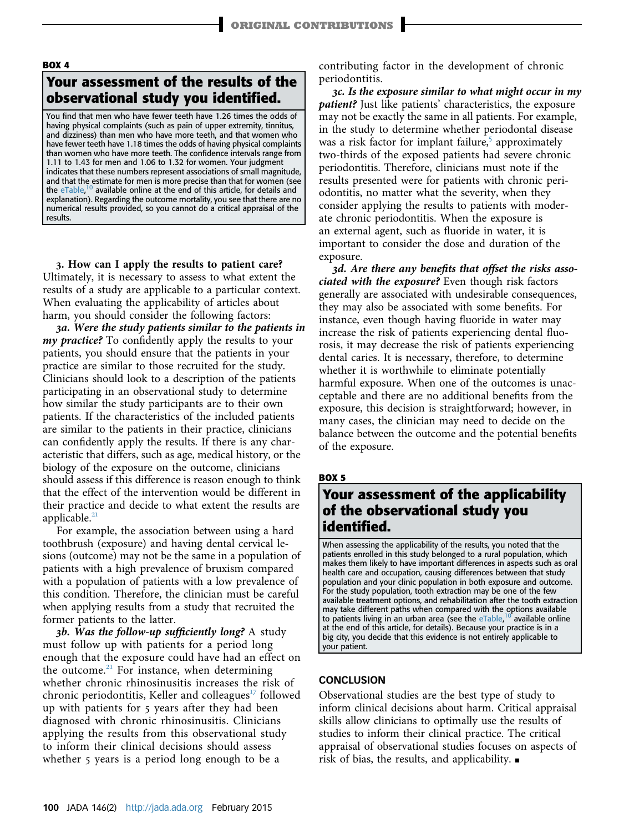#### BOX 4

## Your assessment of the results of the observational study you identified.

You find that men who have fewer teeth have 1.26 times the odds of having physical complaints (such as pain of upper extremity, tinnitus, and dizziness) than men who have more teeth, and that women who have fewer teeth have 1.18 times the odds of having physical complaints than women who have more teeth. The confidence intervals range from 1.11 to 1.43 for men and 1.06 to 1.32 for women. Your judgment indicates that these numbers represent associations of small magnitude, and that the estimate for men is more precise than that for women (see the eTable,<sup>[10](#page-7-0)</sup> available online at the end of this article, for details and explanation). Regarding the outcome mortality, you see that there are no numerical results provided, so you cannot do a critical appraisal of the results.

3. How can I apply the results to patient care? Ultimately, it is necessary to assess to what extent the results of a study are applicable to a particular context. When evaluating the applicability of articles about harm, you should consider the following factors:

3a. Were the study patients similar to the patients in my practice? To confidently apply the results to your patients, you should ensure that the patients in your practice are similar to those recruited for the study. Clinicians should look to a description of the patients participating in an observational study to determine how similar the study participants are to their own patients. If the characteristics of the included patients are similar to the patients in their practice, clinicians can confidently apply the results. If there is any characteristic that differs, such as age, medical history, or the biology of the exposure on the outcome, clinicians should assess if this difference is reason enough to think that the effect of the intervention would be different in their practice and decide to what extent the results are applicable.<sup>[21](#page-7-0)</sup>

For example, the association between using a hard toothbrush (exposure) and having dental cervical lesions (outcome) may not be the same in a population of patients with a high prevalence of bruxism compared with a population of patients with a low prevalence of this condition. Therefore, the clinician must be careful when applying results from a study that recruited the former patients to the latter.

**3b. Was the follow-up sufficiently long?** A study must follow up with patients for a period long enough that the exposure could have had an effect on the outcome. $21$  For instance, when determining whether chronic rhinosinusitis increases the risk of chronic periodontitis, Keller and colleagues<sup>[17](#page-7-0)</sup> followed up with patients for 5 years after they had been diagnosed with chronic rhinosinusitis. Clinicians applying the results from this observational study to inform their clinical decisions should assess whether 5 years is a period long enough to be a

contributing factor in the development of chronic periodontitis.

3c. Is the exposure similar to what might occur in my patient? Just like patients' characteristics, the exposure may not be exactly the same in all patients. For example, in the study to determine whether periodontal disease was a risk factor for implant failure,<sup>[5](#page-7-0)</sup> approximately two-thirds of the exposed patients had severe chronic periodontitis. Therefore, clinicians must note if the results presented were for patients with chronic periodontitis, no matter what the severity, when they consider applying the results to patients with moderate chronic periodontitis. When the exposure is an external agent, such as fluoride in water, it is important to consider the dose and duration of the exposure.

3d. Are there any benefits that offset the risks associated with the exposure? Even though risk factors generally are associated with undesirable consequences, they may also be associated with some benefits. For instance, even though having fluoride in water may increase the risk of patients experiencing dental fluorosis, it may decrease the risk of patients experiencing dental caries. It is necessary, therefore, to determine whether it is worthwhile to eliminate potentially harmful exposure. When one of the outcomes is unacceptable and there are no additional benefits from the exposure, this decision is straightforward; however, in many cases, the clinician may need to decide on the balance between the outcome and the potential benefits of the exposure.

### BOX 5

# Your assessment of the applicability of the observational study you identified.

When assessing the applicability of the results, you noted that the patients enrolled in this study belonged to a rural population, which makes them likely to have important differences in aspects such as oral health care and occupation, causing differences between that study population and your clinic population in both exposure and outcome. For the study population, tooth extraction may be one of the few available treatment options, and rehabilitation after the tooth extraction may take different paths when compared with the options available to patients living in an urban area (see the eTable, <sup>[10](#page-7-0)</sup> available online at the end of this article, for details). Because your practice is in a big city, you decide that this evidence is not entirely applicable to your patient.

### **CONCLUSION**

Observational studies are the best type of study to inform clinical decisions about harm. Critical appraisal skills allow clinicians to optimally use the results of studies to inform their clinical practice. The critical appraisal of observational studies focuses on aspects of risk of bias, the results, and applicability.  $\blacksquare$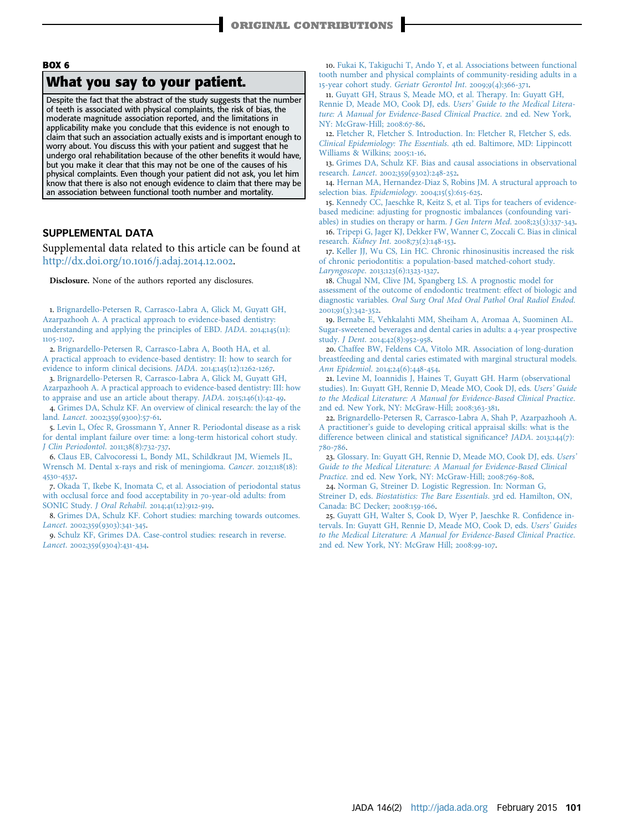### <span id="page-7-0"></span>BOX 6

### What you say to your patient.

Despite the fact that the abstract of the study suggests that the number of teeth is associated with physical complaints, the risk of bias, the moderate magnitude association reported, and the limitations in applicability make you conclude that this evidence is not enough to claim that such an association actually exists and is important enough to worry about. You discuss this with your patient and suggest that he undergo oral rehabilitation because of the other benefits it would have, but you make it clear that this may not be one of the causes of his physical complaints. Even though your patient did not ask, you let him know that there is also not enough evidence to claim that there may be an association between functional tooth number and mortality.

#### SUPPLEMENTAL DATA

Supplemental data related to this article can be found at [http://dx.doi.org/](http://dx.doi.org/10.1016/j.adaj.2014.12.002)10.1016/j.adaj.2014.12.002.

Disclosure. None of the authors reported any disclosures.

1. [Brignardello-Petersen R, Carrasco-Labra A, Glick M, Guyatt GH,](http://refhub.elsevier.com/S0002-8177(14)00065-8/sref1) [Azarpazhooh A. A practical approach to evidence-based dentistry:](http://refhub.elsevier.com/S0002-8177(14)00065-8/sref1) [understanding and applying the principles of EBD.](http://refhub.elsevier.com/S0002-8177(14)00065-8/sref1) JADA. 2014;145(11): 1105-[1107](http://refhub.elsevier.com/S0002-8177(14)00065-8/sref1).

2. [Brignardello-Petersen R, Carrasco-Labra A, Booth HA, et al.](http://refhub.elsevier.com/S0002-8177(14)00065-8/sref2) [A practical approach to evidence-based dentistry: II: how to search for](http://refhub.elsevier.com/S0002-8177(14)00065-8/sref2) [evidence to inform clinical decisions.](http://refhub.elsevier.com/S0002-8177(14)00065-8/sref2) JADA. 2014;145(12):1262-1267.

3. [Brignardello-Petersen R, Carrasco-Labra A, Glick M, Guyatt GH,](http://refhub.elsevier.com/S0002-8177(14)00065-8/sref3) [Azarpazhooh A. A practical approach to evidence-based dentistry: III: how](http://refhub.elsevier.com/S0002-8177(14)00065-8/sref3) [to appraise and use an article about therapy.](http://refhub.elsevier.com/S0002-8177(14)00065-8/sref3) JADA. 2015;146(1):42-49.

4. [Grimes DA, Schulz KF. An overview of clinical research: the lay of the](http://refhub.elsevier.com/S0002-8177(14)00065-8/sref4) land. [Lancet](http://refhub.elsevier.com/S0002-8177(14)00065-8/sref4). 2002;359(9300):57-61.

5. [Levin L, Ofec R, Grossmann Y, Anner R. Periodontal disease as a risk](http://refhub.elsevier.com/S0002-8177(14)00065-8/sref5) [for dental implant failure over time: a long-term historical cohort study.](http://refhub.elsevier.com/S0002-8177(14)00065-8/sref5) [J Clin Periodontol](http://refhub.elsevier.com/S0002-8177(14)00065-8/sref5). 2011;38(8):732-737.

6. [Claus EB, Calvocoressi L, Bondy ML, Schildkraut JM, Wiemels JL,](http://refhub.elsevier.com/S0002-8177(14)00065-8/sref6) [Wrensch M. Dental x-rays and risk of meningioma.](http://refhub.elsevier.com/S0002-8177(14)00065-8/sref6) Cancer. 2012;118(18): [4530](http://refhub.elsevier.com/S0002-8177(14)00065-8/sref6)-4537.

7. [Okada T, Ikebe K, Inomata C, et al. Association of periodontal status](http://refhub.elsevier.com/S0002-8177(14)00065-8/sref7) [with occlusal force and food acceptability in](http://refhub.elsevier.com/S0002-8177(14)00065-8/sref7) 70-year-old adults: from [SONIC Study.](http://refhub.elsevier.com/S0002-8177(14)00065-8/sref7) J Oral Rehabil. 2014;41(12):912-919.

8. [Grimes DA, Schulz KF. Cohort studies: marching towards outcomes.](http://refhub.elsevier.com/S0002-8177(14)00065-8/sref8) [Lancet](http://refhub.elsevier.com/S0002-8177(14)00065-8/sref8). 2002;359(9303):341-345.

9. [Schulz KF, Grimes DA. Case-control studies: research in reverse.](http://refhub.elsevier.com/S0002-8177(14)00065-8/sref9) [Lancet](http://refhub.elsevier.com/S0002-8177(14)00065-8/sref9). 2002;359(9304):431-434.

10. [Fukai K, Takiguchi T, Ando Y, et al. Associations between functional](http://refhub.elsevier.com/S0002-8177(14)00065-8/sref10) [tooth number and physical complaints of community-residing adults in a](http://refhub.elsevier.com/S0002-8177(14)00065-8/sref10) 15-year cohort study. [Geriatr Gerontol Int](http://refhub.elsevier.com/S0002-8177(14)00065-8/sref10). 2009;9(4):366-371.

11. [Guyatt GH, Straus S, Meade MO, et al. Therapy. In: Guyatt GH,](http://refhub.elsevier.com/S0002-8177(14)00065-8/sref11) [Rennie D, Meade MO, Cook DJ, eds.](http://refhub.elsevier.com/S0002-8177(14)00065-8/sref11) Users' Guide to the Medical Litera[ture: A Manual for Evidence-Based Clinical Practice](http://refhub.elsevier.com/S0002-8177(14)00065-8/sref11). 2nd ed. New York, [NY: McGraw-Hill;](http://refhub.elsevier.com/S0002-8177(14)00065-8/sref11) 2008:67-86.

12. [Fletcher R, Fletcher S. Introduction. In: Fletcher R, Fletcher S, eds.](http://refhub.elsevier.com/S0002-8177(14)00065-8/sref12) [Clinical Epidemiology: The Essentials](http://refhub.elsevier.com/S0002-8177(14)00065-8/sref12). 4th ed. Baltimore, MD: Lippincott [Williams & Wilkins;](http://refhub.elsevier.com/S0002-8177(14)00065-8/sref12) 2005:1-16.

13. [Grimes DA, Schulz KF. Bias and causal associations in observational](http://refhub.elsevier.com/S0002-8177(14)00065-8/sref13) [research.](http://refhub.elsevier.com/S0002-8177(14)00065-8/sref13) Lancet. 2002;359(9302):248-252.

14. [Hernan MA, Hernandez-Diaz S, Robins JM. A structural approach to](http://refhub.elsevier.com/S0002-8177(14)00065-8/sref14) [selection bias.](http://refhub.elsevier.com/S0002-8177(14)00065-8/sref14) Epidemiology. 2004;15(5):615-625.

15. [Kennedy CC, Jaeschke R, Keitz S, et al. Tips for teachers of evidence](http://refhub.elsevier.com/S0002-8177(14)00065-8/sref15)[based medicine: adjusting for prognostic imbalances \(confounding vari-](http://refhub.elsevier.com/S0002-8177(14)00065-8/sref15)

[ables\) in studies on therapy or harm.](http://refhub.elsevier.com/S0002-8177(14)00065-8/sref15) J Gen Intern Med. 2008;23(3):337-343. 16. [Tripepi G, Jager KJ, Dekker FW, Wanner C, Zoccali C. Bias in clinical](http://refhub.elsevier.com/S0002-8177(14)00065-8/sref16) research. [Kidney Int](http://refhub.elsevier.com/S0002-8177(14)00065-8/sref16). 2008;73(2):148-153.

17. [Keller JJ, Wu CS, Lin HC. Chronic rhinosinusitis increased the risk](http://refhub.elsevier.com/S0002-8177(14)00065-8/sref17) [of chronic periodontitis: a population-based matched-cohort study.](http://refhub.elsevier.com/S0002-8177(14)00065-8/sref17) [Laryngoscope](http://refhub.elsevier.com/S0002-8177(14)00065-8/sref17). 2013;123(6):1323-1327.

18. [Chugal NM, Clive JM, Spangberg LS. A prognostic model for](http://refhub.elsevier.com/S0002-8177(14)00065-8/sref18) [assessment of the outcome of endodontic treatment: effect of biologic and](http://refhub.elsevier.com/S0002-8177(14)00065-8/sref18) diagnostic variables. [Oral Surg Oral Med Oral Pathol Oral Radiol Endod](http://refhub.elsevier.com/S0002-8177(14)00065-8/sref18). [2001](http://refhub.elsevier.com/S0002-8177(14)00065-8/sref18);91(3):342-352.

19. [Bernabe E, Vehkalahti MM, Sheiham A, Aromaa A, Suominen AL.](http://refhub.elsevier.com/S0002-8177(14)00065-8/sref19) [Sugar-sweetened beverages and dental caries in adults: a](http://refhub.elsevier.com/S0002-8177(14)00065-8/sref19) 4-year prospective study. [J Dent](http://refhub.elsevier.com/S0002-8177(14)00065-8/sref19). 2014;42(8):952-958.

20. [Chaffee BW, Feldens CA, Vitolo MR. Association of long-duration](http://refhub.elsevier.com/S0002-8177(14)00065-8/sref20) [breastfeeding and dental caries estimated with marginal structural models.](http://refhub.elsevier.com/S0002-8177(14)00065-8/sref20) [Ann Epidemiol](http://refhub.elsevier.com/S0002-8177(14)00065-8/sref20). 2014;24(6):448-454.

21. [Levine M, Ioannidis J, Haines T, Guyatt GH. Harm \(observational](http://refhub.elsevier.com/S0002-8177(14)00065-8/sref21) [studies\). In: Guyatt GH, Rennie D, Meade MO, Cook DJ, eds.](http://refhub.elsevier.com/S0002-8177(14)00065-8/sref21) Users' Guide [to the Medical Literature: A Manual for Evidence-Based Clinical Practice](http://refhub.elsevier.com/S0002-8177(14)00065-8/sref21). 2[nd ed. New York, NY: McGraw-Hill;](http://refhub.elsevier.com/S0002-8177(14)00065-8/sref21) 2008:363-381.

22. [Brignardello-Petersen R, Carrasco-Labra A, Shah P, Azarpazhooh A.](http://refhub.elsevier.com/S0002-8177(14)00065-8/sref22) A practitioner'[s guide to developing critical appraisal skills: what is the](http://refhub.elsevier.com/S0002-8177(14)00065-8/sref22) [difference between clinical and statistical signi](http://refhub.elsevier.com/S0002-8177(14)00065-8/sref22)ficance? JADA. 2013;144(7): [780](http://refhub.elsevier.com/S0002-8177(14)00065-8/sref22)-786.

23. [Glossary. In: Guyatt GH, Rennie D, Meade MO, Cook DJ, eds.](http://refhub.elsevier.com/S0002-8177(14)00065-8/sref23) Users' [Guide to the Medical Literature: A Manual for Evidence-Based Clinical](http://refhub.elsevier.com/S0002-8177(14)00065-8/sref23) Practice. 2[nd ed. New York, NY: McGraw-Hill;](http://refhub.elsevier.com/S0002-8177(14)00065-8/sref23) 2008:769-808.

24. [Norman G, Streiner D. Logistic Regression. In: Norman G,](http://refhub.elsevier.com/S0002-8177(14)00065-8/sref24)

Streiner D, eds. [Biostatistics: The Bare Essentials](http://refhub.elsevier.com/S0002-8177(14)00065-8/sref24). 3rd ed. Hamilton, ON, [Canada: BC Decker;](http://refhub.elsevier.com/S0002-8177(14)00065-8/sref24) 2008:159-166.

25. [Guyatt GH, Walter S, Cook D, Wyer P, Jaeschke R. Con](http://refhub.elsevier.com/S0002-8177(14)00065-8/sref25)fidence in[tervals. In: Guyatt GH, Rennie D, Meade MO, Cook D, eds.](http://refhub.elsevier.com/S0002-8177(14)00065-8/sref25) Users' Guides [to the Medical Literature: A Manual for Evidence-Based Clinical Practice](http://refhub.elsevier.com/S0002-8177(14)00065-8/sref25). 2[nd ed. New York, NY: McGraw Hill;](http://refhub.elsevier.com/S0002-8177(14)00065-8/sref25) 2008:99-107.